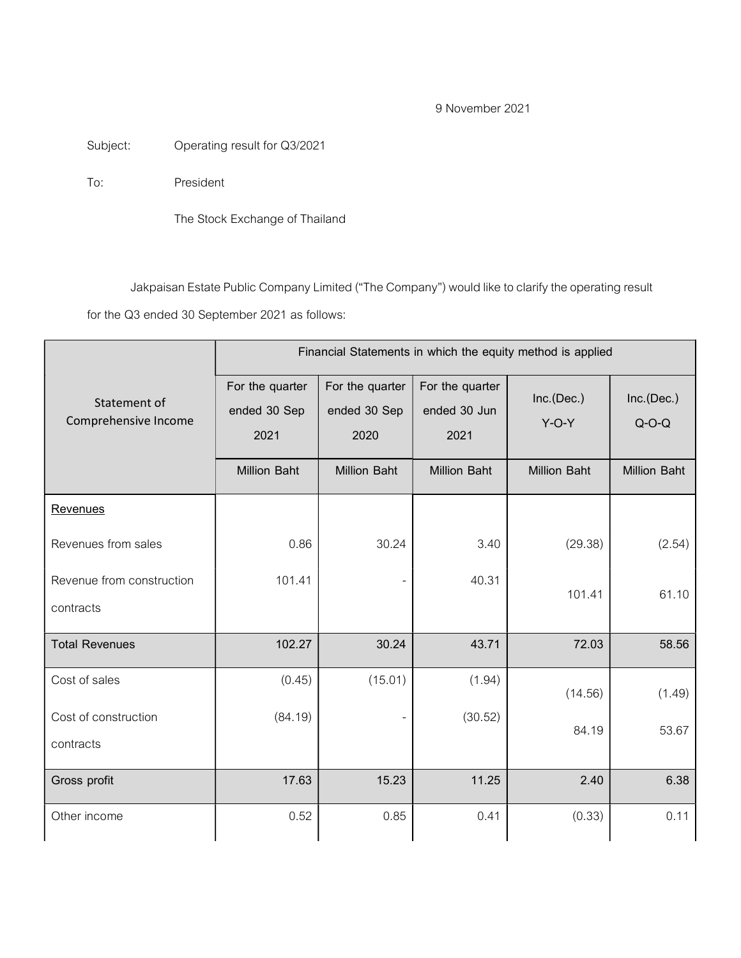# 9 November 2021

Subject: Operating result for Q3/2021

To: President

The Stock Exchange of Thailand

Jakpaisan Estate Public Company Limited ("The Company") would like to clarify the operating result

for the Q3 ended 30 September 2021 as follows:

|                                        | Financial Statements in which the equity method is applied |                                         |                                         |                       |                       |  |
|----------------------------------------|------------------------------------------------------------|-----------------------------------------|-----------------------------------------|-----------------------|-----------------------|--|
| Statement of<br>Comprehensive Income   | For the quarter<br>ended 30 Sep<br>2021                    | For the quarter<br>ended 30 Sep<br>2020 | For the quarter<br>ended 30 Jun<br>2021 | Inc.(Dec.)<br>$Y-O-Y$ | Inc.(Dec.)<br>$Q-O-Q$ |  |
|                                        | <b>Million Baht</b>                                        | <b>Million Baht</b>                     | <b>Million Baht</b>                     | <b>Million Baht</b>   | <b>Million Baht</b>   |  |
| <b>Revenues</b>                        |                                                            |                                         |                                         |                       |                       |  |
| Revenues from sales                    | 0.86                                                       | 30.24                                   | 3.40                                    | (29.38)               | (2.54)                |  |
| Revenue from construction<br>contracts | 101.41                                                     |                                         | 40.31                                   | 101.41                | 61.10                 |  |
| <b>Total Revenues</b>                  | 102.27                                                     | 30.24                                   | 43.71                                   | 72.03                 | 58.56                 |  |
| Cost of sales                          | (0.45)                                                     | (15.01)                                 | (1.94)                                  | (14.56)               | (1.49)                |  |
| Cost of construction<br>contracts      | (84.19)                                                    |                                         | (30.52)                                 | 84.19                 | 53.67                 |  |
| Gross profit                           | 17.63                                                      | 15.23                                   | 11.25                                   | 2.40                  | 6.38                  |  |
| Other income                           | 0.52                                                       | 0.85                                    | 0.41                                    | (0.33)                | 0.11                  |  |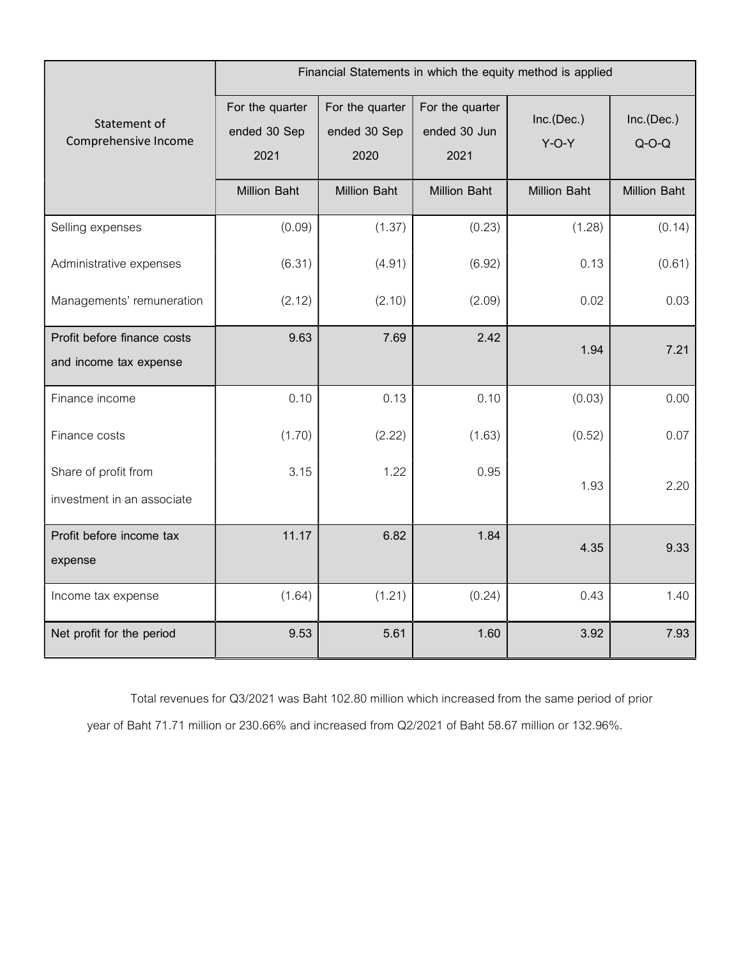|                                                       | Financial Statements in which the equity method is applied |                                         |                                         |                       |                       |  |  |
|-------------------------------------------------------|------------------------------------------------------------|-----------------------------------------|-----------------------------------------|-----------------------|-----------------------|--|--|
| Statement of<br>Comprehensive Income                  | For the quarter<br>ended 30 Sep<br>2021                    | For the quarter<br>ended 30 Sep<br>2020 | For the quarter<br>ended 30 Jun<br>2021 | Inc.(Dec.)<br>$Y-O-Y$ | Inc.(Dec.)<br>$Q-O-Q$ |  |  |
|                                                       | <b>Million Baht</b>                                        | <b>Million Baht</b>                     | <b>Million Baht</b>                     | <b>Million Baht</b>   | <b>Million Baht</b>   |  |  |
| Selling expenses                                      | (0.09)                                                     | (1.37)                                  | (0.23)                                  | (1.28)                | (0.14)                |  |  |
| Administrative expenses                               | (6.31)                                                     | (4.91)                                  | (6.92)                                  | 0.13                  | (0.61)                |  |  |
| Managements' remuneration                             | (2.12)                                                     | (2.10)                                  | (2.09)                                  | 0.02                  | 0.03                  |  |  |
| Profit before finance costs<br>and income tax expense | 9.63                                                       | 7.69                                    | 2.42                                    | 1.94                  | 7.21                  |  |  |
| Finance income                                        | 0.10                                                       | 0.13                                    | 0.10                                    | (0.03)                | 0.00                  |  |  |
| Finance costs                                         | (1.70)                                                     | (2.22)                                  | (1.63)                                  | (0.52)                | 0.07                  |  |  |
| Share of profit from<br>investment in an associate    | 3.15                                                       | 1.22                                    | 0.95                                    | 1.93                  | 2.20                  |  |  |
| Profit before income tax<br>expense                   | 11.17                                                      | 6.82                                    | 1.84                                    | 4.35                  | 9.33                  |  |  |
| Income tax expense                                    | (1.64)                                                     | (1.21)                                  | (0.24)                                  | 0.43                  | 1.40                  |  |  |
| Net profit for the period                             | 9.53                                                       | 5.61                                    | 1.60                                    | 3.92                  | 7.93                  |  |  |

Total revenues for Q3/2021 was Baht 102.80 million which increased from the same period of prior year of Baht 71.71 million or 230.66% and increased from Q2/2021 of Baht 58.67 million or 132.96%.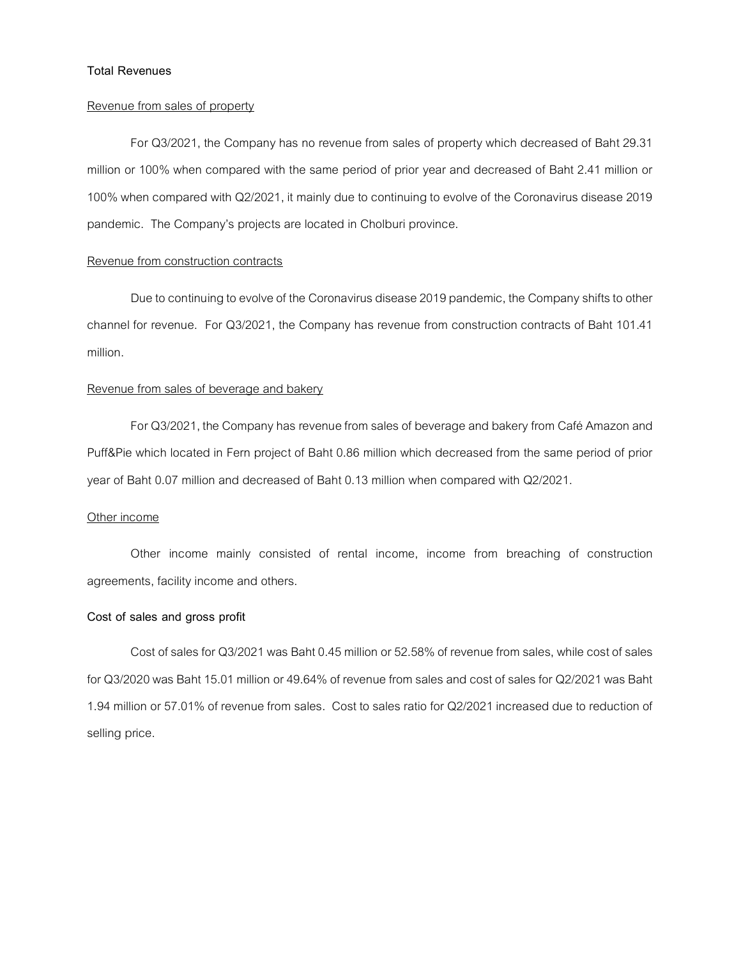# Total Revenues

# Revenue from sales of property

 For Q3/2021, the Company has no revenue from sales of property which decreased of Baht 29.31 million or 100% when compared with the same period of prior year and decreased of Baht 2.41 million or 100% when compared with Q2/2021, it mainly due to continuing to evolve of the Coronavirus disease 2019 pandemic. The Company's projects are located in Cholburi province.

# Revenue from construction contracts

Due to continuing to evolve of the Coronavirus disease 2019 pandemic, the Company shifts to other channel for revenue. For Q3/2021, the Company has revenue from construction contracts of Baht 101.41 million.

# Revenue from sales of beverage and bakery

 For Q3/2021, the Company has revenue from sales of beverage and bakery from Café Amazon and Puff&Pie which located in Fern project of Baht 0.86 million which decreased from the same period of prior year of Baht 0.07 million and decreased of Baht 0.13 million when compared with Q2/2021.

#### Other income

 Other income mainly consisted of rental income, income from breaching of construction agreements, facility income and others.

# Cost of sales and gross profit

 Cost of sales for Q3/2021 was Baht 0.45 million or 52.58% of revenue from sales, while cost of sales for Q3/2020 was Baht 15.01 million or 49.64% of revenue from sales and cost of sales for Q2/2021 was Baht 1.94 million or 57.01% of revenue from sales. Cost to sales ratio for Q2/2021 increased due to reduction of selling price.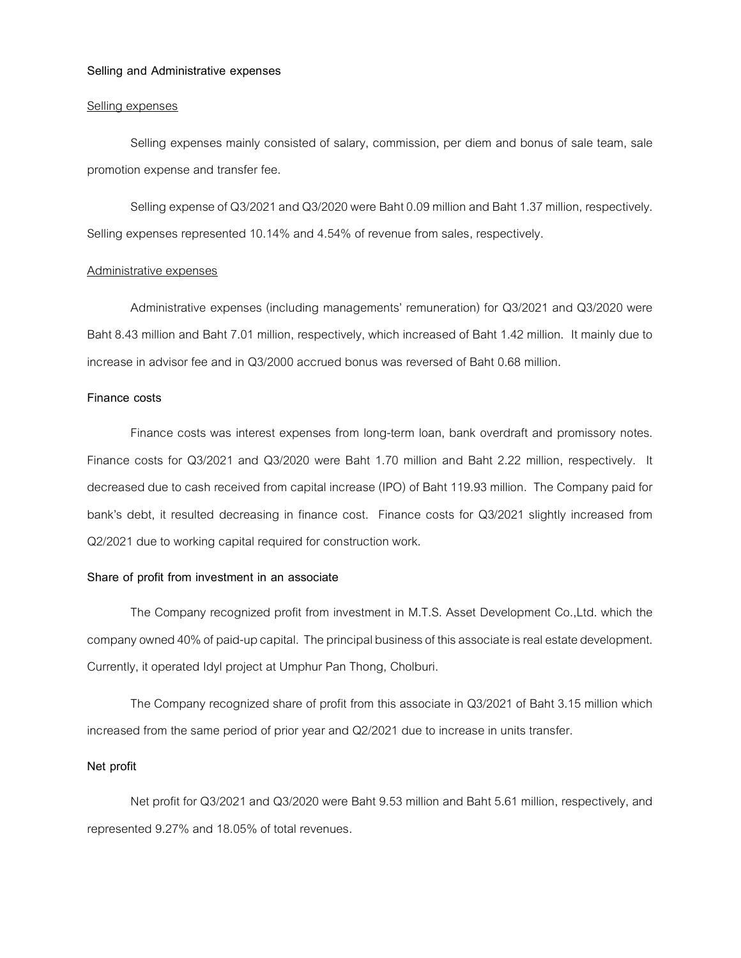#### Selling and Administrative expenses

# Selling expenses

 Selling expenses mainly consisted of salary, commission, per diem and bonus of sale team, sale promotion expense and transfer fee.

 Selling expense of Q3/2021 and Q3/2020 were Baht 0.09 million and Baht 1.37 million, respectively. Selling expenses represented 10.14% and 4.54% of revenue from sales, respectively.

#### Administrative expenses

 Administrative expenses (including managements' remuneration) for Q3/2021 and Q3/2020 were Baht 8.43 million and Baht 7.01 million, respectively, which increased of Baht 1.42 million. It mainly due to increase in advisor fee and in Q3/2000 accrued bonus was reversed of Baht 0.68 million.

# Finance costs

 Finance costs was interest expenses from long-term loan, bank overdraft and promissory notes. Finance costs for Q3/2021 and Q3/2020 were Baht 1.70 million and Baht 2.22 million, respectively. It decreased due to cash received from capital increase (IPO) of Baht 119.93 million. The Company paid for bank's debt, it resulted decreasing in finance cost. Finance costs for Q3/2021 slightly increased from Q2/2021 due to working capital required for construction work.

# Share of profit from investment in an associate

 The Company recognized profit from investment in M.T.S. Asset Development Co.,Ltd. which the company owned 40% of paid-up capital. The principal business of this associate is real estate development. Currently, it operated Idyl project at Umphur Pan Thong, Cholburi.

 The Company recognized share of profit from this associate in Q3/2021 of Baht 3.15 million which increased from the same period of prior year and Q2/2021 due to increase in units transfer.

## Net profit

 Net profit for Q3/2021 and Q3/2020 were Baht 9.53 million and Baht 5.61 million, respectively, and represented 9.27% and 18.05% of total revenues.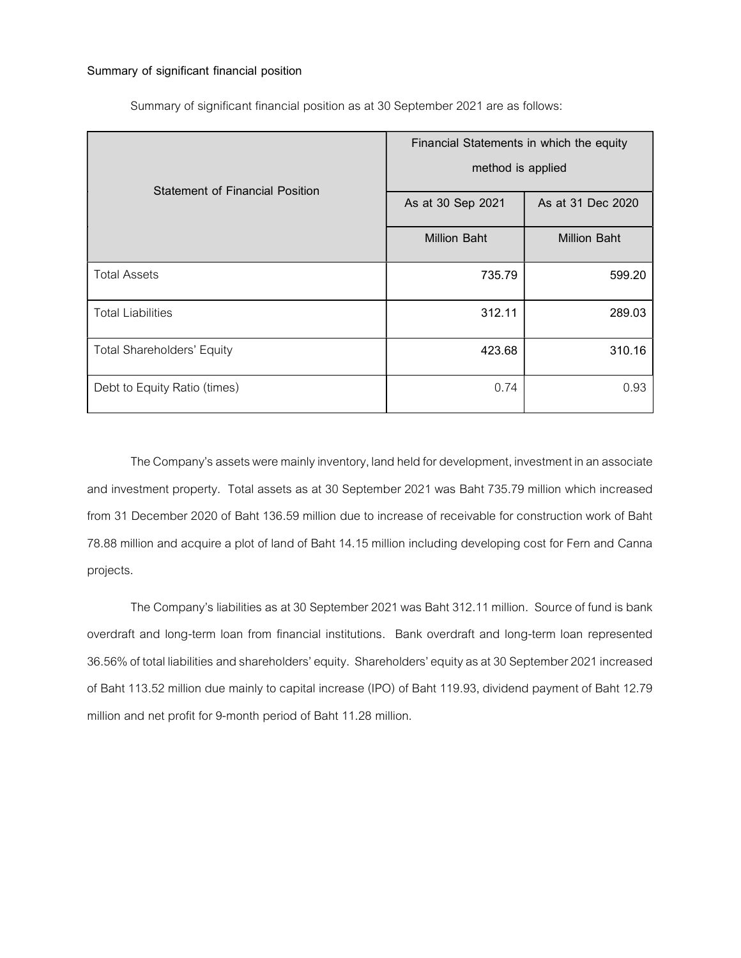# Summary of significant financial position

|                                        | Financial Statements in which the equity |                     |  |  |
|----------------------------------------|------------------------------------------|---------------------|--|--|
| <b>Statement of Financial Position</b> | method is applied                        |                     |  |  |
|                                        | As at 30 Sep 2021                        | As at 31 Dec 2020   |  |  |
|                                        | <b>Million Baht</b>                      | <b>Million Baht</b> |  |  |
| <b>Total Assets</b>                    | 735.79                                   | 599.20              |  |  |
| <b>Total Liabilities</b>               | 312.11                                   | 289.03              |  |  |
| <b>Total Shareholders' Equity</b>      | 423.68                                   | 310.16              |  |  |
| Debt to Equity Ratio (times)           | 0.74                                     | 0.93                |  |  |

Summary of significant financial position as at 30 September 2021 are as follows:

The Company's assets were mainly inventory, land held for development, investment in an associate and investment property. Total assets as at 30 September 2021 was Baht 735.79 million which increased from 31 December 2020 of Baht 136.59 million due to increase of receivable for construction work of Baht 78.88 million and acquire a plot of land of Baht 14.15 million including developing cost for Fern and Canna projects.

The Company's liabilities as at 30 September 2021 was Baht 312.11 million. Source of fund is bank overdraft and long-term loan from financial institutions. Bank overdraft and long-term loan represented 36.56% of total liabilities and shareholders' equity. Shareholders' equity as at 30 September 2021 increased of Baht 113.52 million due mainly to capital increase (IPO) of Baht 119.93, dividend payment of Baht 12.79 million and net profit for 9-month period of Baht 11.28 million.